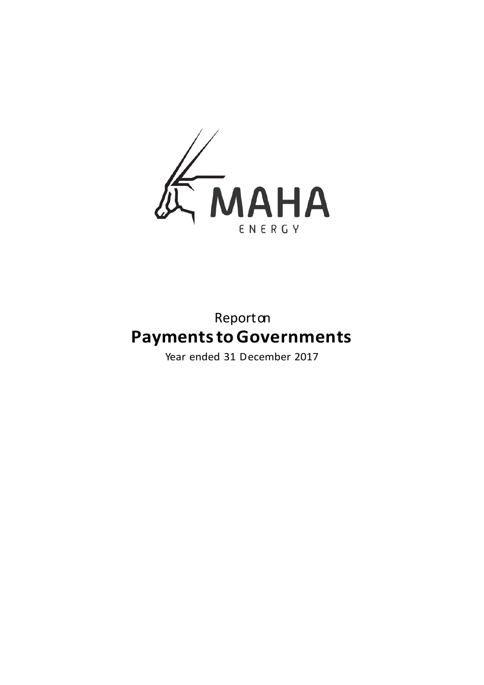

# Reporton **Payments to Governments**

Year ended 31 December 2017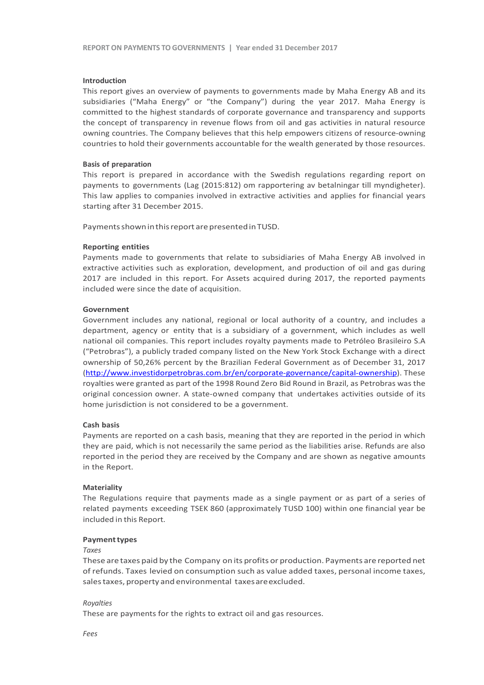#### **Introduction**

This report gives an overview of payments to governments made by Maha Energy AB and its subsidiaries ("Maha Energy" or "the Company") during the year 2017. Maha Energy is committed to the highest standards of corporate governance and transparency and supports the concept of transparency in revenue flows from oil and gas activities in natural resource owning countries. The Company believes that this help empowers citizens of resource-owning countries to hold their governments accountable for the wealth generated by those resources.

#### **Basis of preparation**

This report is prepared in accordance with the Swedish regulations regarding report on payments to governments (Lag (2015:812) om rapportering av betalningar till myndigheter). This law applies to companies involved in extractive activities and applies for financial years starting after 31 December 2015.

Payments shown in this report are presented in TUSD.

#### **Reporting entities**

Payments made to governments that relate to subsidiaries of Maha Energy AB involved in extractive activities such as exploration, development, and production of oil and gas during 2017 are included in this report. For Assets acquired during 2017, the reported payments included were since the date of acquisition.

#### **Government**

Government includes any national, regional or local authority of a country, and includes a department, agency or entity that is a subsidiary of a government, which includes as well national oil companies. This report includes royalty payments made to Petróleo Brasileiro S.A ("Petrobras"), a publicly traded company listed on the New York Stock Exchange with a direct ownership of 50,26% percent by the Brazilian Federal Government as of December 31, 2017 [\(http://www.investidorpetrobras.com.br/en/corporate-governance/capital-ownership\)](http://www.investidorpetrobras.com.br/en/corporate-governance/capital-ownership). These royalties were granted as part of the 1998 Round Zero Bid Round in Brazil, as Petrobras was the original concession owner. A state-owned company that undertakes activities outside of its home jurisdiction is not considered to be a government.

#### **Cash basis**

Payments are reported on a cash basis, meaning that they are reported in the period in which they are paid, which is not necessarily the same period as the liabilities arise. Refunds are also reported in the period they are received by the Company and are shown as negative amounts in the Report.

#### **Materiality**

The Regulations require that payments made as a single payment or as part of a series of related payments exceeding TSEK 860 (approximately TUSD 100) within one financial year be included in this Report.

#### **Payment types**

#### *Taxes*

These are taxes paid by the Company on its profits or production. Payments are reported net of refunds. Taxes levied on consumption such as value added taxes, personal income taxes, sales taxes, property and environmental taxes are excluded.

#### *Royalties*

These are payments for the rights to extract oil and gas resources.

*Fees*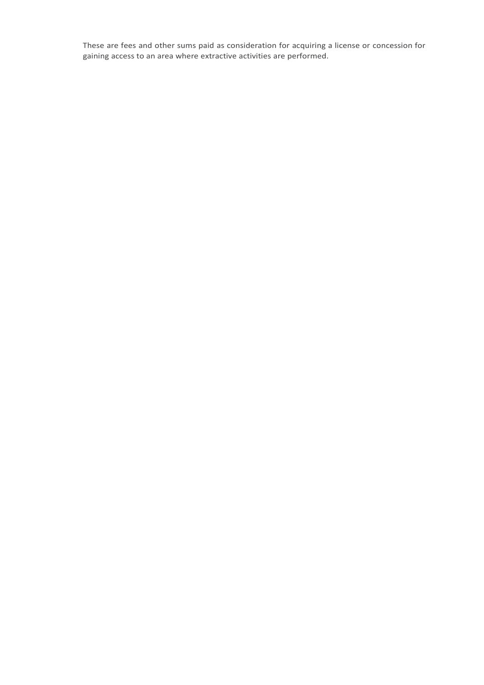These are fees and other sums paid as consideration for acquiring a license or concession for gaining access to an area where extractive activities are performed.